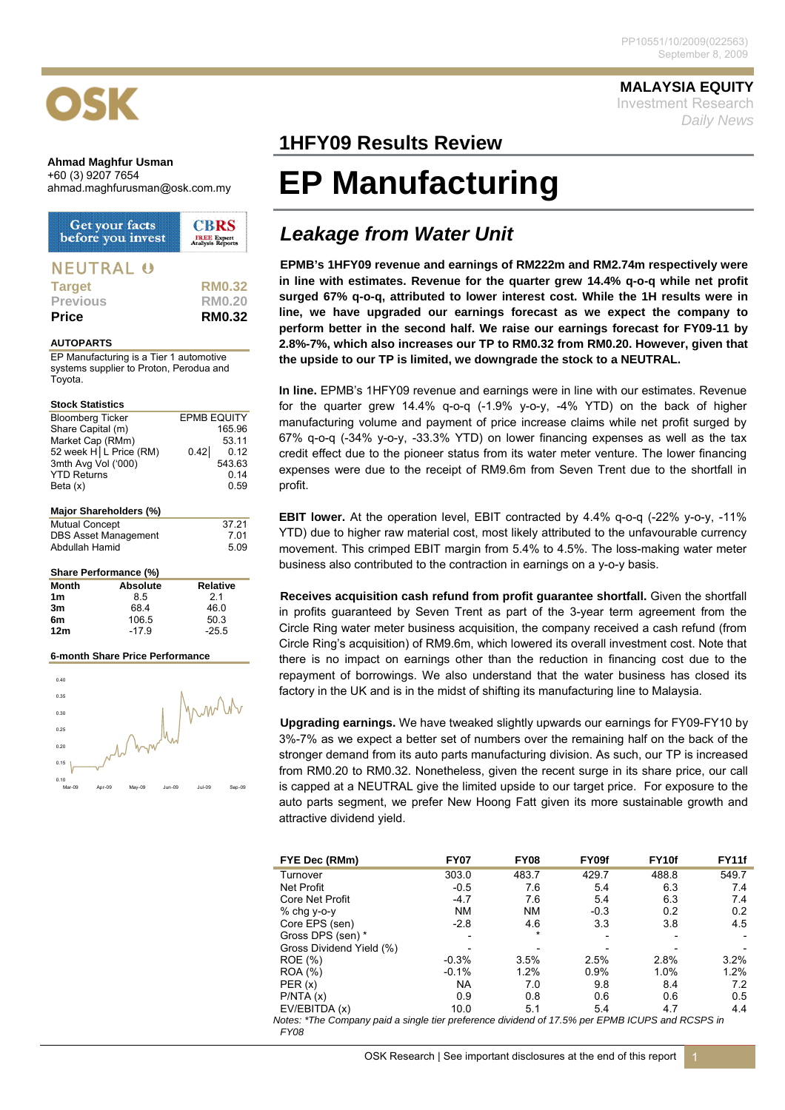# OSK

### **Ahmad Maghfur Usman**  +60 (3) 9207 7654

| Get your facts<br>before you invest | <b>CBRS</b><br><b>FREE Expert</b><br>Aralysis Reports |  |  |
|-------------------------------------|-------------------------------------------------------|--|--|
| <b>NEUTRAL 0</b>                    |                                                       |  |  |
| Target                              | <b>RM0.32</b>                                         |  |  |
| <b>Previous</b>                     | <b>RM0.20</b>                                         |  |  |
| Price                               | <b>RM0.32</b>                                         |  |  |

### **AUTOPARTS**

EP Manufacturing is a Tier 1 automotive systems supplier to Proton, Perodua and Toyota.

### **Stock Statistics**

| <b>Bloomberg Ticker</b><br>Share Capital (m)<br>Market Cap (RMm)<br>3mth Avg Vol ('000)<br><b>YTD Returns</b><br>Beta (x) | 52 week $H L$ Price (RM) | <b>EPMB EQUITY</b><br>0.42 | 165.96<br>53.11<br>0.12<br>543.63<br>0.14<br>0.59 |  |  |  |
|---------------------------------------------------------------------------------------------------------------------------|--------------------------|----------------------------|---------------------------------------------------|--|--|--|
| Major Shareholders (%)                                                                                                    |                          |                            |                                                   |  |  |  |
| <b>Mutual Concept</b>                                                                                                     |                          |                            | 37.21                                             |  |  |  |
| <b>DBS Asset Management</b>                                                                                               |                          | 7.01                       |                                                   |  |  |  |
| Abdullah Hamid                                                                                                            |                          |                            | 5.09                                              |  |  |  |
|                                                                                                                           |                          |                            |                                                   |  |  |  |
|                                                                                                                           | Share Performance (%)    |                            |                                                   |  |  |  |
| Month                                                                                                                     | Absolute                 | <b>Relative</b>            |                                                   |  |  |  |
| 1m                                                                                                                        | 8.5                      | 2.1                        |                                                   |  |  |  |
| 3m                                                                                                                        | 68.4                     | 46.0                       |                                                   |  |  |  |
| 6m                                                                                                                        | 106.5                    | 50.3                       |                                                   |  |  |  |

### **6-month Share Price Performance**

**12m** -17.9 -25.5



## **MALAYSIA EQUITY**

Investment Research *Daily News*

# **1HFY09 Results Review**

# ahmad.maghfurusman@osk.com.my **EP Manufacturing**

# *Leakage from Water Unit*

**EPMB's 1HFY09 revenue and earnings of RM222m and RM2.74m respectively were in line with estimates. Revenue for the quarter grew 14.4% q-o-q while net profit surged 67% q-o-q, attributed to lower interest cost. While the 1H results were in line, we have upgraded our earnings forecast as we expect the company to perform better in the second half. We raise our earnings forecast for FY09-11 by 2.8%-7%, which also increases our TP to RM0.32 from RM0.20. However, given that the upside to our TP is limited, we downgrade the stock to a NEUTRAL.** 

**In line.** EPMB's 1HFY09 revenue and earnings were in line with our estimates. Revenue for the quarter grew 14.4% q-o-q (-1.9% y-o-y, -4% YTD) on the back of higher manufacturing volume and payment of price increase claims while net profit surged by 67% q-o-q (-34% y-o-y, -33.3% YTD) on lower financing expenses as well as the tax credit effect due to the pioneer status from its water meter venture. The lower financing expenses were due to the receipt of RM9.6m from Seven Trent due to the shortfall in profit.

**EBIT lower.** At the operation level, EBIT contracted by 4.4% q-o-q (-22% y-o-y, -11% YTD) due to higher raw material cost, most likely attributed to the unfavourable currency movement. This crimped EBIT margin from 5.4% to 4.5%. The loss-making water meter business also contributed to the contraction in earnings on a y-o-y basis.

**Receives acquisition cash refund from profit guarantee shortfall.** Given the shortfall in profits guaranteed by Seven Trent as part of the 3-year term agreement from the Circle Ring water meter business acquisition, the company received a cash refund (from Circle Ring's acquisition) of RM9.6m, which lowered its overall investment cost. Note that there is no impact on earnings other than the reduction in financing cost due to the repayment of borrowings. We also understand that the water business has closed its factory in the UK and is in the midst of shifting its manufacturing line to Malaysia.

**Upgrading earnings.** We have tweaked slightly upwards our earnings for FY09-FY10 by 3%-7% as we expect a better set of numbers over the remaining half on the back of the stronger demand from its auto parts manufacturing division. As such, our TP is increased from RM0.20 to RM0.32. Nonetheless, given the recent surge in its share price, our call is capped at a NEUTRAL give the limited upside to our target price. For exposure to the auto parts segment, we prefer New Hoong Fatt given its more sustainable growth and attractive dividend yield.

| FYE Dec (RMm)                                                                                    | <b>FY07</b> | <b>FY08</b> | FY09f  | FY <sub>10f</sub> | <b>FY11f</b> |  |  |
|--------------------------------------------------------------------------------------------------|-------------|-------------|--------|-------------------|--------------|--|--|
| Turnover                                                                                         | 303.0       | 483.7       | 429.7  | 488.8             | 549.7        |  |  |
| Net Profit                                                                                       | $-0.5$      | 7.6         | 5.4    | 6.3               | 7.4          |  |  |
| Core Net Profit                                                                                  | $-4.7$      | 7.6         | 5.4    | 6.3               | 7.4          |  |  |
| % chg y-o-y                                                                                      | <b>NM</b>   | <b>NM</b>   | $-0.3$ | 0.2               | 0.2          |  |  |
| Core EPS (sen)                                                                                   | $-2.8$      | 4.6         | 3.3    | 3.8               | 4.5          |  |  |
| Gross DPS (sen) *                                                                                |             | $\star$     |        |                   |              |  |  |
| Gross Dividend Yield (%)                                                                         |             |             |        |                   |              |  |  |
| ROE (%)                                                                                          | $-0.3%$     | 3.5%        | 2.5%   | 2.8%              | 3.2%         |  |  |
| <b>ROA</b> (%)                                                                                   | $-0.1%$     | 1.2%        | 0.9%   | 1.0%              | 1.2%         |  |  |
| PER(x)                                                                                           | <b>NA</b>   | 7.0         | 9.8    | 8.4               | 7.2          |  |  |
| P/NTA(x)                                                                                         | 0.9         | 0.8         | 0.6    | 0.6               | 0.5          |  |  |
| EV/EBITDA (x)                                                                                    | 10.0        | 5.1         | 5.4    | 4.7               | 4.4          |  |  |
| Notes: *The Company paid a single tier preference dividend of 17.5% per EDMR ICLIDS and DCSDS in |             |             |        |                   |              |  |  |

*Id a single tier preterence dividend of 17.5% per EPMB ICUPS and RCSPS in FY08*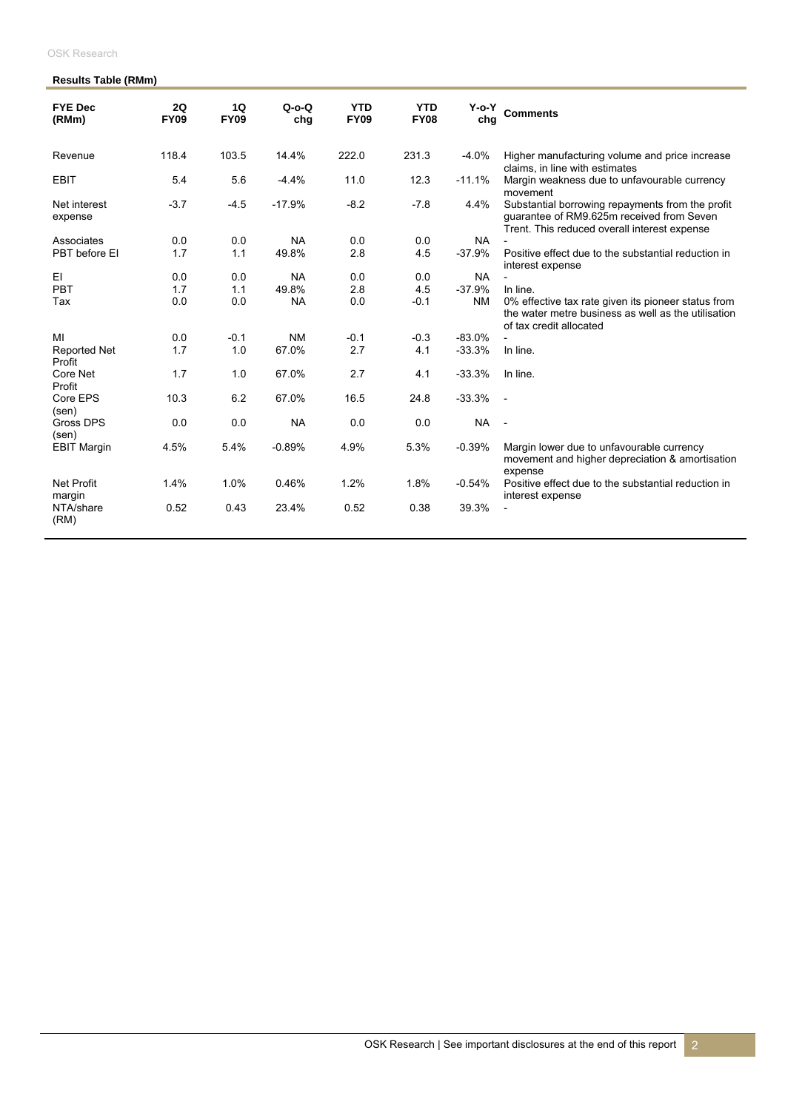| <b>OSK Research</b> |  |
|---------------------|--|
|                     |  |

### **Results Table (RMm)**

| <b>FYE Dec</b><br>(RMm)       | 2Q<br><b>FY09</b> | 1Q<br><b>FY09</b> | $Q$ -o-Q<br>chq | <b>YTD</b><br><b>FY09</b> | <b>YTD</b><br><b>FY08</b> | Y-o-Y<br>chg | <b>Comments</b>                                                                                                                               |
|-------------------------------|-------------------|-------------------|-----------------|---------------------------|---------------------------|--------------|-----------------------------------------------------------------------------------------------------------------------------------------------|
| Revenue                       | 118.4             | 103.5             | 14.4%           | 222.0                     | 231.3                     | $-4.0%$      | Higher manufacturing volume and price increase<br>claims, in line with estimates                                                              |
| <b>EBIT</b>                   | 5.4               | 5.6               | $-4.4%$         | 11.0                      | 12.3                      | $-11.1%$     | Margin weakness due to unfavourable currency<br>movement                                                                                      |
| Net interest<br>expense       | $-3.7$            | $-4.5$            | $-17.9%$        | $-8.2$                    | $-7.8$                    | 4.4%         | Substantial borrowing repayments from the profit<br>quarantee of RM9.625m received from Seven<br>Trent. This reduced overall interest expense |
| Associates                    | 0.0               | 0.0               | <b>NA</b>       | 0.0                       | 0.0                       | <b>NA</b>    |                                                                                                                                               |
| PBT before EI                 | 1.7               | 1.1               | 49.8%           | 2.8                       | 4.5                       | $-37.9%$     | Positive effect due to the substantial reduction in<br>interest expense                                                                       |
| EI                            | 0.0               | 0.0               | <b>NA</b>       | 0.0                       | 0.0                       | <b>NA</b>    | $\overline{a}$                                                                                                                                |
| PBT                           | 1.7               | 1.1               | 49.8%           | 2.8                       | 4.5                       | $-37.9%$     | In line.                                                                                                                                      |
| Tax                           | 0.0               | 0.0               | <b>NA</b>       | 0.0                       | $-0.1$                    | <b>NM</b>    | 0% effective tax rate given its pioneer status from<br>the water metre business as well as the utilisation<br>of tax credit allocated         |
| MI                            | 0.0               | $-0.1$            | <b>NM</b>       | $-0.1$                    | $-0.3$                    | $-83.0%$     |                                                                                                                                               |
| <b>Reported Net</b><br>Profit | 1.7               | 1.0               | 67.0%           | 2.7                       | 4.1                       | $-33.3%$     | In line.                                                                                                                                      |
| Core Net<br>Profit            | 1.7               | 1.0               | 67.0%           | 2.7                       | 4.1                       | $-33.3%$     | In line.                                                                                                                                      |
| Core EPS<br>(sen)             | 10.3              | 6.2               | 67.0%           | 16.5                      | 24.8                      | $-33.3%$     | $\overline{\phantom{a}}$                                                                                                                      |
| <b>Gross DPS</b><br>(sen)     | 0.0               | 0.0               | <b>NA</b>       | 0.0                       | 0.0                       | <b>NA</b>    | $\overline{\phantom{a}}$                                                                                                                      |
| <b>EBIT Margin</b>            | 4.5%              | 5.4%              | $-0.89%$        | 4.9%                      | 5.3%                      | $-0.39%$     | Margin lower due to unfavourable currency<br>movement and higher depreciation & amortisation<br>expense                                       |
| <b>Net Profit</b><br>margin   | 1.4%              | 1.0%              | 0.46%           | 1.2%                      | 1.8%                      | $-0.54%$     | Positive effect due to the substantial reduction in<br>interest expense                                                                       |
| NTA/share<br>(RM)             | 0.52              | 0.43              | 23.4%           | 0.52                      | 0.38                      | 39.3%        |                                                                                                                                               |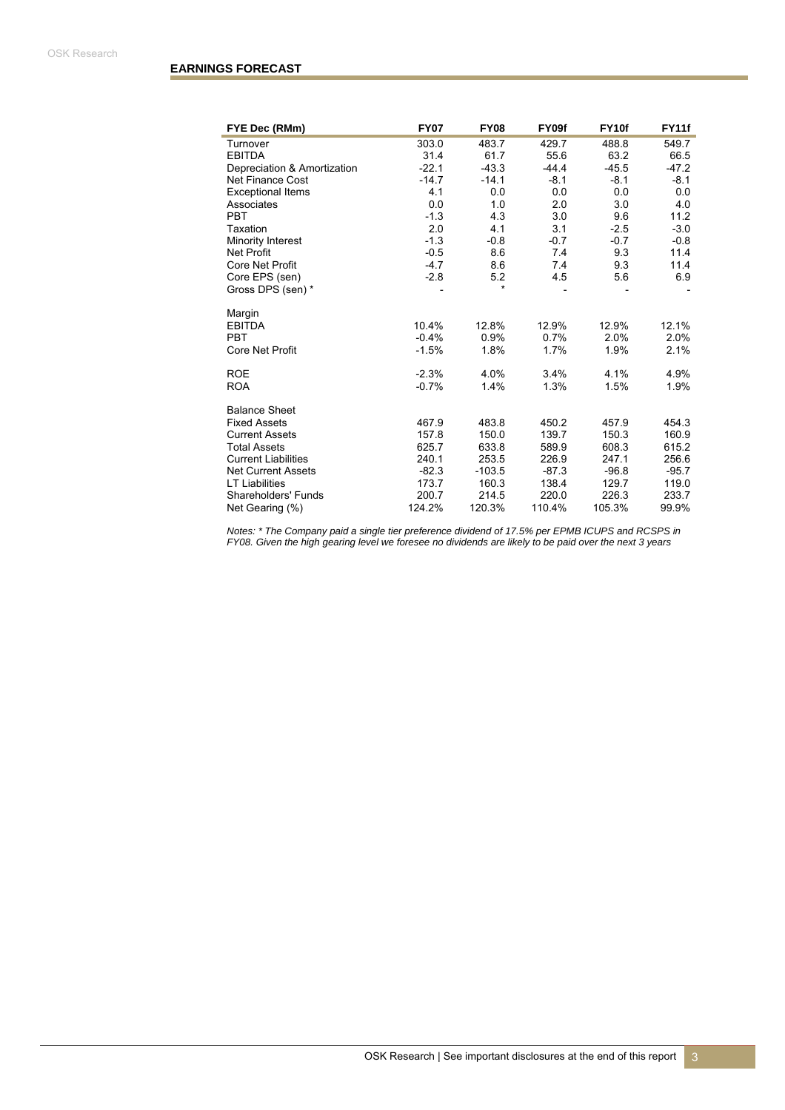| FYE Dec (RMm)               | <b>FY07</b> | <b>FY08</b> | FY09f   | FY <sub>10f</sub> | <b>FY11f</b> |
|-----------------------------|-------------|-------------|---------|-------------------|--------------|
| Turnover                    | 303.0       | 483.7       | 429.7   | 488.8             | 549.7        |
| <b>EBITDA</b>               | 31.4        | 61.7        | 55.6    | 63.2              | 66.5         |
| Depreciation & Amortization | $-22.1$     | $-43.3$     | $-44.4$ | $-45.5$           | $-47.2$      |
| Net Finance Cost            | $-14.7$     | $-14.1$     | $-8.1$  | $-8.1$            | $-8.1$       |
| <b>Exceptional Items</b>    | 4.1         | 0.0         | 0.0     | 0.0               | 0.0          |
| Associates                  | 0.0         | 1.0         | 2.0     | 3.0               | 4.0          |
| <b>PBT</b>                  | $-1.3$      | 4.3         | 3.0     | 9.6               | 11.2         |
| Taxation                    | 2.0         | 4.1         | 3.1     | $-2.5$            | $-3.0$       |
| Minority Interest           | $-1.3$      | $-0.8$      | $-0.7$  | $-0.7$            | $-0.8$       |
| <b>Net Profit</b>           | $-0.5$      | 8.6         | 7.4     | 9.3               | 11.4         |
| Core Net Profit             | $-4.7$      | 8.6         | 7.4     | 9.3               | 11.4         |
| Core EPS (sen)              | $-2.8$      | 5.2         | 4.5     | 5.6               | 6.9          |
| Gross DPS (sen) *           |             | $\star$     |         |                   |              |
| Margin                      |             |             |         |                   |              |
| <b>EBITDA</b>               | 10.4%       | 12.8%       | 12.9%   | 12.9%             | 12.1%        |
| <b>PBT</b>                  | $-0.4%$     | 0.9%        | 0.7%    | 2.0%              | 2.0%         |
| Core Net Profit             | $-1.5%$     | 1.8%        | 1.7%    | 1.9%              | 2.1%         |
| <b>ROE</b>                  | $-2.3%$     | 4.0%        | 3.4%    | 4.1%              | 4.9%         |
| <b>ROA</b>                  | $-0.7%$     | 1.4%        | 1.3%    | 1.5%              | 1.9%         |
| <b>Balance Sheet</b>        |             |             |         |                   |              |
| <b>Fixed Assets</b>         | 467.9       | 483.8       | 450.2   | 457.9             | 454.3        |
| <b>Current Assets</b>       | 157.8       | 150.0       | 139.7   | 150.3             | 160.9        |
| <b>Total Assets</b>         | 625.7       | 633.8       | 589.9   | 608.3             | 615.2        |
| <b>Current Liabilities</b>  | 240.1       | 253.5       | 226.9   | 247.1             | 256.6        |
| <b>Net Current Assets</b>   | $-82.3$     | $-103.5$    | $-87.3$ | $-96.8$           | $-95.7$      |
| <b>LT Liabilities</b>       | 173.7       | 160.3       | 138.4   | 129.7             | 119.0        |
| Shareholders' Funds         | 200.7       | 214.5       | 220.0   | 226.3             | 233.7        |
| Net Gearing (%)             | 124.2%      | 120.3%      | 110.4%  | 105.3%            | 99.9%        |

*Notes: \* The Company paid a single tier preference dividend of 17.5% per EPMB ICUPS and RCSPS in FY08. Given the high gearing level we foresee no dividends are likely to be paid over the next 3 years*